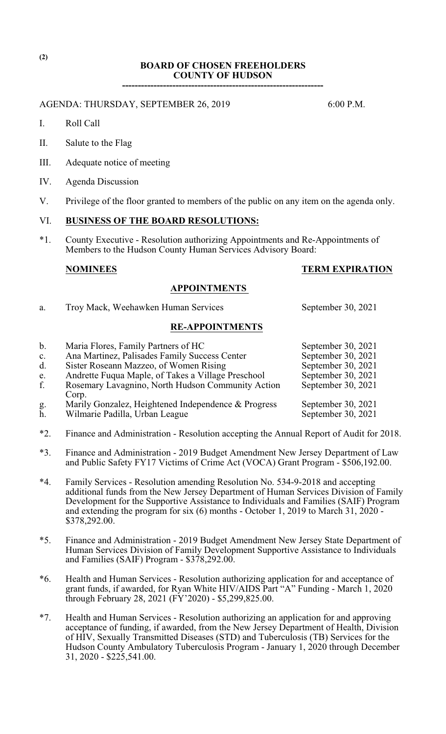## **BOARD OF CHOSEN FREEHOLDERS COUNTY OF HUDSON ----------------------------------------------------------------**

AGENDA: THURSDAY, SEPTEMBER 26, 2019 6:00 P.M.

- I. Roll Call
- II. Salute to the Flag
- III. Adequate notice of meeting
- IV. Agenda Discussion
- V. Privilege of the floor granted to members of the public on any item on the agenda only.

# VI. **BUSINESS OF THE BOARD RESOLUTIONS:**

\*1. County Executive - Resolution authorizing Appointments and Re-Appointments of Members to the Hudson County Human Services Advisory Board:

## **NOMINEES TERM EXPIRATION**

### **APPOINTMENTS**

a. Troy Mack, Weehawken Human Services September 30, 2021

## **RE-APPOINTMENTS**

| $\mathbf b$ .  | Maria Flores, Family Partners of HC                 | September 30, 2021 |
|----------------|-----------------------------------------------------|--------------------|
| $\mathbf{c}$ . | Ana Martinez, Palisades Family Success Center       | September 30, 2021 |
| d.             | Sister Roseann Mazzeo, of Women Rising              | September 30, 2021 |
| e.             | Andrette Fuqua Maple, of Takes a Village Preschool  | September 30, 2021 |
| f.             | Rosemary Lavagnino, North Hudson Community Action   | September 30, 2021 |
|                | Corp.                                               |                    |
| g.             | Marily Gonzalez, Heightened Independence & Progress | September 30, 2021 |
| h.             | Wilmarie Padilla, Urban League                      | September 30, 2021 |

- \*2. Finance and Administration Resolution accepting the Annual Report of Audit for 2018.
- \*3. Finance and Administration 2019 Budget Amendment New Jersey Department of Law and Public Safety FY17 Victims of Crime Act (VOCA) Grant Program - \$506,192.00.
- \*4. Family Services Resolution amending Resolution No. 534-9-2018 and accepting additional funds from the New Jersey Department of Human Services Division of Family Development for the Supportive Assistance to Individuals and Families (SAIF) Program and extending the program for six (6) months - October 1, 2019 to March 31, 2020 - \$378,292.00.
- \*5. Finance and Administration 2019 Budget Amendment New Jersey State Department of Human Services Division of Family Development Supportive Assistance to Individuals and Families (SAIF) Program - \$378,292.00.
- \*6. Health and Human Services Resolution authorizing application for and acceptance of grant funds, if awarded, for Ryan White HIV/AIDS Part "A" Funding - March 1, 2020 through February 28, 2021 (FY'2020) - \$5,299,825.00.
- \*7. Health and Human Services Resolution authorizing an application for and approving acceptance of funding, if awarded, from the New Jersey Department of Health, Division of HIV, Sexually Transmitted Diseases (STD) and Tuberculosis (TB) Services for the Hudson County Ambulatory Tuberculosis Program - January 1, 2020 through December 31, 2020 - \$225,541.00.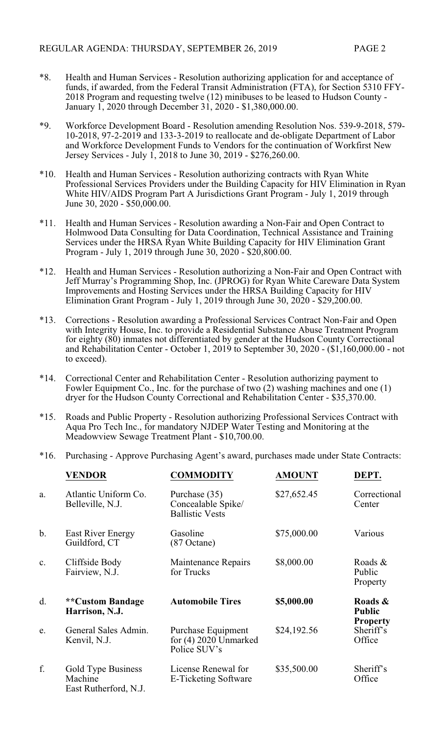- \*8. Health and Human Services Resolution authorizing application for and acceptance of funds, if awarded, from the Federal Transit Administration (FTA), for Section 5310 FFY-2018 Program and requesting twelve (12) minibuses to be leased to Hudson County - January 1, 2020 through December 31, 2020 - \$1,380,000.00.
- \*9. Workforce Development Board Resolution amending Resolution Nos. 539-9-2018, 579- 10-2018, 97-2-2019 and 133-3-2019 to reallocate and de-obligate Department of Labor and Workforce Development Funds to Vendors for the continuation of Workfirst New Jersey Services - July 1, 2018 to June 30, 2019 - \$276,260.00.
- \*10. Health and Human Services Resolution authorizing contracts with Ryan White Professional Services Providers under the Building Capacity for HIV Elimination in Ryan White HIV/AIDS Program Part A Jurisdictions Grant Program - July 1, 2019 through June 30, 2020 - \$50,000.00.
- \*11. Health and Human Services Resolution awarding a Non-Fair and Open Contract to Holmwood Data Consulting for Data Coordination, Technical Assistance and Training Services under the HRSA Ryan White Building Capacity for HIV Elimination Grant Program - July 1, 2019 through June 30, 2020 - \$20,800.00.
- \*12. Health and Human Services Resolution authorizing a Non-Fair and Open Contract with Jeff Murray's Programming Shop, Inc. (JPROG) for Ryan White Careware Data System Improvements and Hosting Services under the HRSA Building Capacity for HIV Elimination Grant Program - July 1, 2019 through June 30, 2020 - \$29,200.00.
- \*13. Corrections Resolution awarding a Professional Services Contract Non-Fair and Open with Integrity House, Inc. to provide a Residential Substance Abuse Treatment Program for eighty (80) inmates not differentiated by gender at the Hudson County Correctional and Rehabilitation Center - October 1, 2019 to September 30, 2020 - (\$1,160,000.00 - not to exceed).
- \*14. Correctional Center and Rehabilitation Center Resolution authorizing payment to Fowler Equipment Co., Inc. for the purchase of two (2) washing machines and one (1) dryer for the Hudson County Correctional and Rehabilitation Center - \$35,370.00.
- \*15. Roads and Public Property Resolution authorizing Professional Services Contract with Aqua Pro Tech Inc., for mandatory NJDEP Water Testing and Monitoring at the Meadowview Sewage Treatment Plant - \$10,700.00.
- \*16. Purchasing Approve Purchasing Agent's award, purchases made under State Contracts:

|       | <b>VENDOR</b>                                          | <b>COMMODITY</b>                                              | <b>AMOUNT</b> | DEPT.                                       |
|-------|--------------------------------------------------------|---------------------------------------------------------------|---------------|---------------------------------------------|
| a.    | Atlantic Uniform Co.<br>Belleville, N.J.               | Purchase (35)<br>Concealable Spike/<br><b>Ballistic Vests</b> | \$27,652.45   | Correctional<br>Center                      |
| $b$ . | <b>East River Energy</b><br>Guildford, CT              | Gasoline<br>$(87 \text{ Octane})$                             | \$75,000.00   | Various                                     |
| c.    | Cliffside Body<br>Fairview, N.J.                       | Maintenance Repairs<br>for Trucks                             | \$8,000.00    | Roads &<br>Public<br>Property               |
| d.    | <b>**Custom Bandage</b><br>Harrison, N.J.              | <b>Automobile Tires</b>                                       | \$5,000.00    | Roads &<br><b>Public</b><br><b>Property</b> |
| e.    | General Sales Admin.<br>Kenvil, N.J.                   | Purchase Equipment<br>for $(4)$ 2020 Unmarked<br>Police SUV's | \$24,192.56   | Sheriff's<br>Office                         |
| f.    | Gold Type Business<br>Machine<br>East Rutherford, N.J. | License Renewal for<br>E-Ticketing Software                   | \$35,500.00   | Sheriff's<br>Office                         |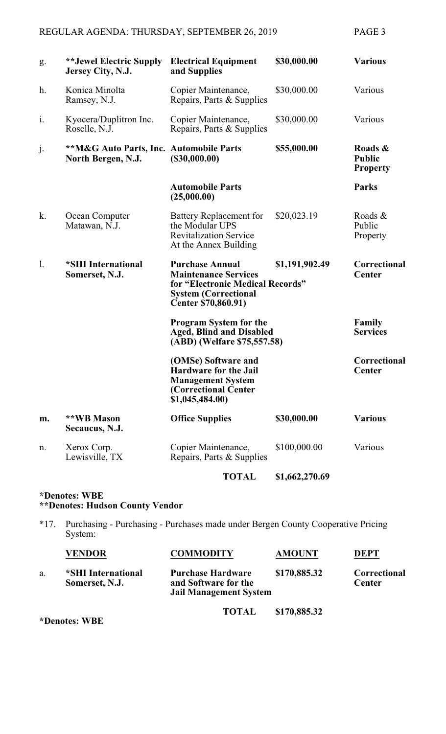| g.             | **Jewel Electric Supply<br>Jersey City, N.J.                             | <b>Electrical Equipment</b><br>and Supplies                                                                                                                                                                                                                   | \$30,000.00    | <b>Various</b>                              |
|----------------|--------------------------------------------------------------------------|---------------------------------------------------------------------------------------------------------------------------------------------------------------------------------------------------------------------------------------------------------------|----------------|---------------------------------------------|
| h.             | Konica Minolta<br>Ramsey, N.J.                                           | Copier Maintenance,<br>Repairs, Parts & Supplies                                                                                                                                                                                                              | \$30,000.00    | Various                                     |
| i.             | Kyocera/Duplitron Inc.<br>Roselle, N.J.                                  | Copier Maintenance,<br>Repairs, Parts & Supplies                                                                                                                                                                                                              | \$30,000.00    | Various                                     |
| j.             | <b>**M&amp;G Auto Parts, Inc. Automobile Parts</b><br>North Bergen, N.J. | (\$30,000.00)                                                                                                                                                                                                                                                 | \$55,000.00    | Roads &<br><b>Public</b><br><b>Property</b> |
|                |                                                                          | <b>Automobile Parts</b><br>(25,000.00)                                                                                                                                                                                                                        |                | <b>Parks</b>                                |
| k.             | Ocean Computer<br>Matawan, N.J.                                          | <b>Battery Replacement for</b><br>the Modular UPS<br><b>Revitalization Service</b><br>At the Annex Building                                                                                                                                                   | \$20,023.19    | Roads &<br>Public<br>Property               |
| $\mathbf{l}$ . | *SHI International<br>Somerset, N.J.                                     | <b>Purchase Annual</b><br>\$1,191,902.49<br><b>Maintenance Services</b><br>for "Electronic Medical Records"<br><b>System (Correctional</b><br>Center \$70,860.91)<br>Program System for the<br><b>Aged, Blind and Disabled</b><br>(ABD) (Welfare \$75,557.58) |                | Correctional<br><b>Center</b>               |
|                |                                                                          |                                                                                                                                                                                                                                                               |                | Family<br><b>Services</b>                   |
|                |                                                                          | (OMSe) Software and<br><b>Hardware for the Jail</b><br><b>Management System</b><br>(Correctional Center<br>\$1,045,484.00)                                                                                                                                    |                | Correctional<br><b>Center</b>               |
| m.             | **WB Mason<br>Secaucus, N.J.                                             | <b>Office Supplies</b>                                                                                                                                                                                                                                        | \$30,000.00    | <b>Various</b>                              |
| n.             | Xerox Corp.<br>Lewisville, TX                                            | Copier Maintenance,<br>Repairs, Parts & Supplies                                                                                                                                                                                                              | \$100,000.00   | Various                                     |
|                |                                                                          | <b>TOTAL</b>                                                                                                                                                                                                                                                  | \$1,662,270.69 |                                             |

# **\*Denotes: WBE \*\*Denotes: Hudson County Vendor**

\*17. Purchasing - Purchasing - Purchases made under Bergen County Cooperative Pricing System:

|    | <b>VENDOR</b>                        | <b>COMMODITY</b>                                                                  | <b>AMOUNT</b> | DEPT                                 |
|----|--------------------------------------|-----------------------------------------------------------------------------------|---------------|--------------------------------------|
| a. | *SHI International<br>Somerset, N.J. | <b>Purchase Hardware</b><br>and Software for the<br><b>Jail Management System</b> | \$170,885.32  | <b>Correctional</b><br><b>Center</b> |

**TOTAL \$170,885.32**

**\*Denotes: WBE**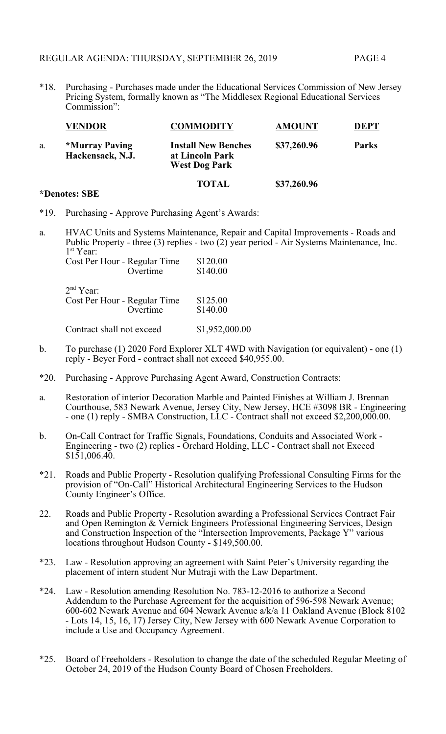\*18. Purchasing - Purchases made under the Educational Services Commission of New Jersey Pricing System, formally known as "The Middlesex Regional Educational Services Commission":

|    | <b>VENDOR</b>                                    | <b>COMMODITY</b>                                                      | <b>AMOUNT</b> | <b>DEPT</b>  |
|----|--------------------------------------------------|-----------------------------------------------------------------------|---------------|--------------|
| a. | <i><b>*Murray Paving</b></i><br>Hackensack, N.J. | <b>Install New Benches</b><br>at Lincoln Park<br><b>West Dog Park</b> | \$37,260.96   | <b>Parks</b> |
|    |                                                  | <b>TOTAL</b>                                                          | \$37,260.96   |              |

### **\*Denotes: SBE**

- \*19. Purchasing Approve Purchasing Agent's Awards:
- a. HVAC Units and Systems Maintenance, Repair and Capital Improvements Roads and Public Property - three (3) replies - two (2) year period - Air Systems Maintenance, Inc. 1 st Year:

|                           | Cost Per Hour - Regular Time | \$120.00       |
|---------------------------|------------------------------|----------------|
|                           | Overtime                     | \$140.00       |
| 2 <sup>nd</sup> Year:     |                              |                |
|                           | Cost Per Hour - Regular Time | \$125.00       |
|                           | Overtime                     | \$140.00       |
| Contract shall not exceed |                              | \$1,952,000.00 |

- b. To purchase (1) 2020 Ford Explorer XLT 4WD with Navigation (or equivalent) one (1) reply - Beyer Ford - contract shall not exceed \$40,955.00.
- \*20. Purchasing Approve Purchasing Agent Award, Construction Contracts:
- a. Restoration of interior Decoration Marble and Painted Finishes at William J. Brennan Courthouse, 583 Newark Avenue, Jersey City, New Jersey, HCE #3098 BR - Engineering - one (1) reply - SMBA Construction, LLC - Contract shall not exceed \$2,200,000.00.
- b. On-Call Contract for Traffic Signals, Foundations, Conduits and Associated Work Engineering - two (2) replies - Orchard Holding, LLC - Contract shall not Exceed  $$1\bar{5}1,006.40.$
- \*21. Roads and Public Property Resolution qualifying Professional Consulting Firms for the provision of "On-Call" Historical Architectural Engineering Services to the Hudson County Engineer's Office.
- 22. Roads and Public Property Resolution awarding a Professional Services Contract Fair and Open Remington & Vernick Engineers Professional Engineering Services, Design and Construction Inspection of the "Intersection Improvements, Package Y" various locations throughout Hudson County - \$149,500.00.
- \*23. Law Resolution approving an agreement with Saint Peter's University regarding the placement of intern student Nur Mutraji with the Law Department.
- \*24. Law Resolution amending Resolution No. 783-12-2016 to authorize a Second Addendum to the Purchase Agreement for the acquisition of 596-598 Newark Avenue; 600-602 Newark Avenue and 604 Newark Avenue a/k/a 11 Oakland Avenue (Block 8102 - Lots 14, 15, 16, 17) Jersey City, New Jersey with 600 Newark Avenue Corporation to include a Use and Occupancy Agreement.
- \*25. Board of Freeholders Resolution to change the date of the scheduled Regular Meeting of October 24, 2019 of the Hudson County Board of Chosen Freeholders.